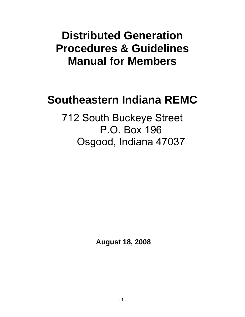# **Distributed Generation Procedures & Guidelines Manual for Members**

# **Southeastern Indiana REMC**

712 South Buckeye Street P.O. Box 196 Osgood, Indiana 47037

 **August 18, 2008**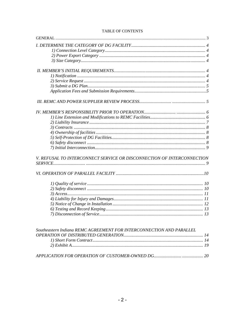| V. REFUSAL TO INTERCONNECT SERVICE OR DISCONNECTION OF INTERCONNECTION |  |
|------------------------------------------------------------------------|--|
|                                                                        |  |
|                                                                        |  |
|                                                                        |  |
|                                                                        |  |
|                                                                        |  |
|                                                                        |  |
|                                                                        |  |
|                                                                        |  |
|                                                                        |  |
| Southeastern Indiana REMC AGREEMENT FOR INTERCONNECTION AND PARALLEL   |  |
|                                                                        |  |
|                                                                        |  |
|                                                                        |  |

# TABLE OF CONTENTS

|--|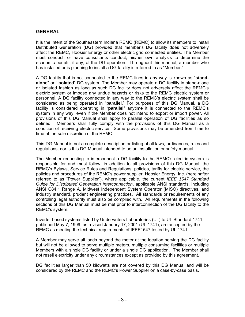# **GENERAL**

It is the intent of the Southeastern Indiana REMC (REMC) to allow its members to install Distributed Generation (DG) provided that member's DG facility does not adversely affect the REMC, Hoosier Energy or other electric grid connected entities. The Member must conduct, or have consultants conduct, his/her own analysis to determine the economic benefit, if any, of the DG operation. Throughout this manual, a member who has installed or is planning to install a DG facility is referred to as "Member."

A DG facility that is not connected to the REMC lines in any way is known as "**standalone**" or "**isolated**" DG system. The Member may operate a DG facility in stand-alone or isolated fashion as long as such DG facility does not adversely affect the REMC's electric system or impose any undue hazards or risks to the REMC electric system or personnel. A DG facility connected in any way to the REMC's electric system shall be considered as being operated in "**parallel**." For purposes of this DG Manual, a DG facility is considered operating in "**parallel**" anytime it is connected to the REMC's system in any way, even if the Member does not intend to export or import power. All provisions of this DG Manual shall apply to parallel operation of DG facilities as so defined. Members shall fully comply with the provisions of this DG Manual as a condition of receiving electric service. Some provisions may be amended from time to time at the sole discretion of the REMC.

This DG Manual is not a complete description or listing of all laws, ordinances, rules and regulations, nor is this DG Manual intended to be an installation or safety manual.

The Member requesting to interconnect a DG facility to the REMC's electric system is responsible for and must follow, in addition to all provisions of this DG Manual, the REMC's Bylaws, Service Rules and Regulations, policies, tariffs for electric service, the policies and procedures of the REMC's power supplier, Hoosier Energy, Inc. (hereinafter referred to as "Power Supplier"), where applicable, the current *IEEE 1547 Standard Guide for Distributed Generation Interconnection*, applicable ANSI standards, including ANSI C84.1 Range A, Midwest Independent System Operator (MISO) directives, and industry standard, prudent engineering practices. All standards or requirements of any controlling legal authority must also be complied with. All requirements in the following sections of this DG Manual must be met prior to interconnection of the DG facility to the REMC's system.

Inverter based systems listed by Underwriters Laboratories (UL) to UL Standard 1741, published May 7, 1999, as revised January 17, 2001 (UL 1741), are accepted by the REMC as meeting the technical requirements of IEEE1547 tested by UL 1741.

A Member may serve all loads beyond the meter at the location serving the DG facility but will not be allowed to serve multiple meters, multiple consuming facilities or multiple Members with a single DG facility or under a single DG application. The Member shall not resell electricity under any circumstances except as provided by this agreement.

DG facilities larger than 50 kilowatts are not covered by this DG Manual and will be considered by the REMC and the REMC's Power Supplier on a case-by-case basis.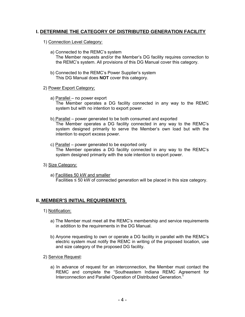# **I. DETERMINE THE CATEGORY OF DISTRIBUTED GENERATION FACILITY**

# 1) Connection Level Category:

- a) Connected to the REMC's system The Member requests and/or the Member's DG facility requires connection to the REMC's system. All provisions of this DG Manual cover this category.
- b) Connected to the REMC's Power Supplier's system This DG Manual does **NOT** cover this category.

# 2) Power Export Category;

- a) Parallel no power export The Member operates a DG facility connected in any way to the REMC system but with no intention to export power.
- b) Parallel power generated to be both consumed and exported The Member operates a DG facility connected in any way to the REMC's system designed primarily to serve the Member's own load but with the intention to export excess power.
- c) Parallel power generated to be exported only The Member operates a DG facility connected in any way to the REMC's system designed primarily with the sole intention to export power.

# 3) Size Category:

a) Facilities 50 kW and smaller Facilities  $\leq$  50 kW of connected generation will be placed in this size category.

# **II. MEMBER'S INITIAL REQUIREMENTS**

- 1) Notification:
	- a) The Member must meet all the REMC's membership and service requirements in addition to the requirements in the DG Manual.
	- b) Anyone requesting to own or operate a DG facility in parallel with the REMC's electric system must notify the REMC in writing of the proposed location, use and size category of the proposed DG facility.
- 2) Service Request:
	- a) In advance of request for an interconnection, the Member must contact the REMC and complete the "Southeastern Indiana REMC Agreement for Interconnection and Parallel Operation of Distributed Generation."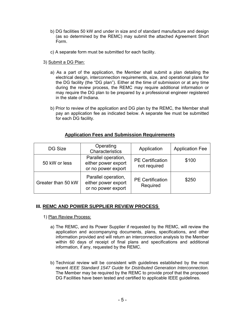- b) DG facilities 50 kW and under in size and of standard manufacture and design (as so determined by the REMC) may submit the attached Agreement Short Form.
- c) A separate form must be submitted for each facility.
- 3) Submit a DG Plan:
	- a) As a part of the application, the Member shall submit a plan detailing the electrical design, interconnection requirements, size, and operational plans for the DG facility (the "DG plan"). Either at the time of submission or at any time during the review process, the REMC may require additional information or may require the DG plan to be prepared by a professional engineer registered in the state of Indiana.
	- b) Prior to review of the application and DG plan by the REMC, the Member shall pay an application fee as indicated below. A separate fee must be submitted for each DG facility.

# **Application Fees and Submission Requirements**

| DG Size            | Operating<br>Characteristics                                     | Application                             | <b>Application Fee</b> |
|--------------------|------------------------------------------------------------------|-----------------------------------------|------------------------|
| 50 kW or less      | Parallel operation,<br>either power export<br>or no power export | <b>PE Certification</b><br>not required | \$100                  |
| Greater than 50 kW | Parallel operation,<br>either power export<br>or no power export | <b>PE Certification</b><br>Required     | \$250                  |

# **III. REMC AND POWER SUPPLIER REVIEW PROCESS**

- 1) Plan Review Process:
	- a) The REMC, and its Power Supplier if requested by the REMC, will review the application and accompanying documents, plans, specifications, and other information provided and will return an interconnection analysis to the Member within 60 days of receipt of final plans and specifications and additional information, if any, requested by the REMC.
	- b) Technical review will be consistent with guidelines established by the most recent *IEEE Standard 1547 Guide for Distributed Generation Interconnection.* The Member may be required by the REMC to provide proof that the proposed DG Facilities have been tested and certified to applicable IEEE guidelines.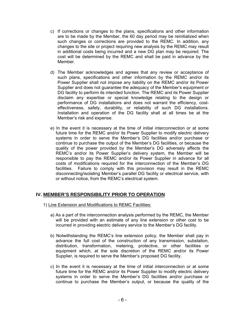- c) If corrections or changes to the plans, specifications and other information are to be made by the Member, the 60 day period may be reinitialized when such changes or corrections are provided to the REMC. In addition, any changes to the site or project requiring new analysis by the REMC may result in additional costs being incurred and a new DG plan may be required. The cost will be determined by the REMC and shall be paid in advance by the Member.
- d) The Member acknowledges and agrees that any review or acceptance of such plans, specifications and other information by the REMC and/or its Power Supplier shall not impose any liability on the REMC and/or its Power Supplier and does not guarantee the adequacy of the Member's equipment or DG facility to perform its intended function. The REMC and its Power Supplier disclaim any expertise or special knowledge relating to the design or performance of DG installations and does not warrant the efficiency, costeffectiveness, safety, durability, or reliability of such DG installations. Installation and operation of the DG facility shall at all times be at the Member's risk and expense.
- e) In the event it is necessary at the time of initial interconnection or at some future time for the REMC and/or its Power Supplier to modify electric delivery systems in order to serve the Member's DG facilities and/or purchase or continue to purchase the output of the Member's DG facilities, or because the quality of the power provided by the Member's DG adversely affects the REMC's and/or its Power Supplier's delivery system, the Member will be responsible to pay the REMC and/or its Power Supplier in advance for all costs of modifications required for the interconnection of the Member's DG facilities. Failure to comply with this provision may result in the REMC disconnecting/isolating Member's parallel DG facility or electrical service, with or without notice, from the REMC's electrical system.

# **IV. MEMBER'S RESPONSIBILITY PRIOR TO OPERATION**

- 1) Line Extension and Modifications to REMC Facilities:
	- a) As a part of the interconnection analysis performed by the REMC, the Member will be provided with an estimate of any line extension or other cost to be incurred in providing electric delivery service to the Member's DG facility.
	- b) Notwithstanding the REMC's line extension policy, the Member shall pay in advance the full cost of the construction of any transmission, substation, distribution, transformation, metering, protective, or other facilities or equipment which, at the sole discretion of the REMC and/or its Power Supplier, is required to serve the Member's proposed DG facility.
	- c) In the event it is necessary at the time of initial interconnection or at some future time for the REMC and/or its Power Supplier to modify electric delivery systems in order to serve the Member's DG facilities and/or purchase or continue to purchase the Member's output, or because the quality of the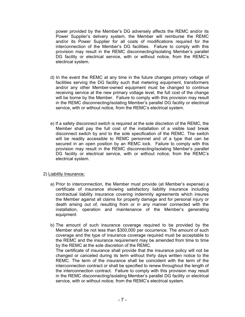power provided by the Member's DG adversely affects the REMC and/or its Power Supplier's delivery system, the Member will reimburse the REMC and/or its Power Supplier for all costs of modifications required for the interconnection of the Member's DG facilities. Failure to comply with this provision may result in the REMC disconnecting/isolating Member's parallel DG facility or electrical service, with or without notice, from the REMC's electrical system.

- d) In the event the REMC at any time in the future changes primary voltage of facilities serving the DG facility such that metering equipment, transformers and/or any other Member-owned equipment must be changed to continue receiving service at the new primary voltage level, the full cost of the change will be borne by the Member. Failure to comply with this provision may result in the REMC disconnecting/isolating Member's parallel DG facility or electrical service, with or without notice, from the REMC's electrical system.
- e) If a safety disconnect switch is required at the sole discretion of the REMC, the Member shall pay the full cost of the installation of a visible load break disconnect switch by and to the sole specification of the REMC. The switch will be readily accessible to REMC personnel and of a type that can be secured in an open position by an REMC lock. Failure to comply with this provision may result in the REMC disconnecting/isolating Member's parallel DG facility or electrical service, with or without notice, from the REMC's electrical system.

## 2) Liability Insurance;

- a) Prior to interconnection, the Member must provide (at Member's expense) a certificate of insurance showing satisfactory liability insurance including contractual liability insurance covering indemnity agreements which insures the Member against all claims for property damage and for personal injury or death arising out of, resulting from or in any manner connected with the installation, operation and maintenance of the Member's generating equipment
- b) The amount of such insurance coverage required to be provided by the Member shall be not less than \$300,000 per occurrence. The amount of such coverage and the type of insurance coverage required must be acceptable to the REMC and the insurance requirement may be amended from time to time by the REMC at the sole discretion of the REMC.

The certificate of insurance shall provide that the insurance policy will not be changed or canceled during its term without thirty days written notice to the REMC. The term of the insurance shall be coincident with the term of the interconnection contract or shall be specified to renew throughout the length of the interconnection contract. Failure to comply with this provision may result in the REMC disconnecting/isolating Member's parallel DG facility or electrical service, with or without notice, from the REMC's electrical system.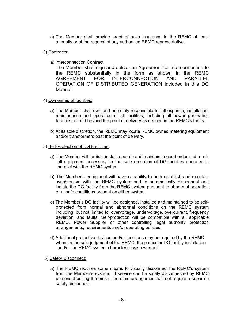- c) The Member shall provide proof of such insurance to the REMC at least annually,or at the request of any authorized REMC representative.
- 3) Contracts:
	- a) Interconnection Contract

The Member shall sign and deliver an Agreement for Interconnection to the REMC substantially in the form as shown in the REMC AGREEMENT FOR INTERCONNECTION AND PARALLEL OPERATION OF DISTRIBUTED GENERATION included in this DG Manual.

## 4) Ownership of facilities:

- a) The Member shall own and be solely responsible for all expense, installation, maintenance and operation of all facilities, including all power generating facilities, at and beyond the point of delivery as defined in the REMC's tariffs.
- b) At its sole discretion, the REMC may locate REMC owned metering equipment and/or transformers past the point of delivery.

## 5) Self-Protection of DG Facilities:

- a) The Member will furnish, install, operate and maintain in good order and repair all equipment necessary for the safe operation of DG facilities operated in parallel with the REMC system.
- b) The Member's equipment will have capability to both establish and maintain synchronism with the REMC system and to automatically disconnect and isolate the DG facility from the REMC system pursuant to abnormal operation or unsafe conditions present on either system.
- c) The Member's DG facility will be designed, installed and maintained to be selfprotected from normal and abnormal conditions on the REMC system including, but not limited to, overvoltage, undervoltage, overcurrent, frequency deviation, and faults. Self-protection will be compatible with all applicable REMC, Power Supplier or other controlling legal authority protection arrangements, requirements and/or operating policies.
- d) Additional protective devices and/or functions may be required by the REMC when, in the sole judgment of the REMC, the particular DG facility installation and/or the REMC system characteristics so warrant.

## 6) Safety Disconnect:

a) The REMC requires some means to visually disconnect the REMC's system from the Member's system. If service can be safely disconnected by REMC personnel pulling the meter, then this arrangement will not require a separate safety disconnect.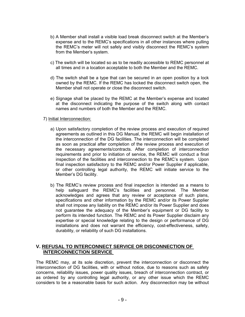- b) A Member shall install a visible load break disconnect switch at the Member's expense and to the REMC's specifications in all other instances where pulling the REMC's meter will not safely and visibly disconnect the REMC's system from the Member's system.
- c) The switch will be located so as to be readily accessible to REMC personnel at all times and in a location acceptable to both the Member and the REMC.
- d) The switch shall be a type that can be secured in an open position by a lock owned by the REMC. If the REMC has locked the disconnect switch open, the Member shall not operate or close the disconnect switch.
- e) Signage shall be placed by the REMC at the Member's expense and located at the disconnect indicating the purpose of the switch along with contact names and numbers of both the Member and the REMC.

## 7) Initial Interconnection:

- a) Upon satisfactory completion of the review process and execution of required agreements as outlined in this DG Manual, the REMC will begin installation of the interconnection of the DG facilities. The interconnection will be completed as soon as practical after completion of the review process and execution of the necessary agreements/contracts. After completion of interconnection requirements and prior to initiation of service, the REMC will conduct a final inspection of the facilities and interconnection to the REMC's system. Upon final inspection satisfactory to the REMC and/or Power Supplier if applicable, or other controlling legal authority, the REMC will initiate service to the Member's DG facility.
- b) The REMC's review process and final inspection is intended as a means to help safeguard the REMC's facilities and personnel. The Member acknowledges and agrees that any review or acceptance of such plans, specifications and other information by the REMC and/or its Power Supplier shall not impose any liability on the REMC and/or its Power Supplier and does not guarantee the adequacy of the Member's equipment or DG facility to perform its intended function. The REMC and its Power Supplier disclaim any expertise or special knowledge relating to the design or performance of DG installations and does not warrant the efficiency, cost-effectiveness, safety, durability, or reliability of such DG installations.

# **V. REFUSAL TO INTERCONNECT SERVICE OR DISCONNECTION OF INTERCONNECTION SERVICE**

The REMC may, at its sole discretion, prevent the interconnection or disconnect the interconnection of DG facilities, with or without notice, due to reasons such as safety concerns, reliability issues, power quality issues, breach of interconnection contract, or as ordered by any controlling legal authority, or any other issue which the REMC considers to be a reasonable basis for such action. Any disconnection may be without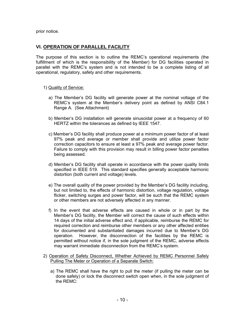prior notice.

# **VI. OPERATION OF PARALLEL FACILITY**

The purpose of this section is to outline the REMC's operational requirements (the fulfillment of which is the responsibility of the Member) for DG facilities operated in parallel with the REMC's system and is not intended to be a complete listing of all operational, regulatory, safety and other requirements.

## 1) Quality of Service:

- a) The Member's DG facility will generate power at the nominal voltage of the REMC's system at the Member's delivery point as defined by ANSI C84.1 Range A. (See Attachment)
- b) Member's DG installation will generate sinusoidal power at a frequency of 60 HERTZ within the tolerances as defined by IEEE 1547.
- c) Member's DG facility shall produce power at a minimum power factor of at least 97% peak and average or member shall provide and utilize power factor correction capacitors to ensure at least a 97% peak and average power factor. Failure to comply with this provision may result in billing power factor penalties being assessed.
- d) Member's DG facility shall operate in accordance with the power quality limits specified in IEEE 519. This standard specifies generally acceptable harmonic distortion (both current and voltage) levels.
- e) The overall quality of the power provided by the Member's DG facility including, but not limited to, the effects of harmonic distortion, voltage regulation, voltage flicker, switching surges and power factor, will be such that the REMC system or other members are not adversely affected in any manner.
- f) In the event that adverse effects are caused in whole or in part by the Member's DG facility, the Member will correct the cause of such effects within 14 days of the initial adverse effect and, if applicable, reimburse the REMC for required correction and reimburse other members or any other affected entities for documented and substantiated damages incurred due to Member's DG operation. However, the disconnection of the facilities by the REMC is permitted without notice if, in the sole judgment of the REMC, adverse effects may warrant immediate disconnection from the REMC's system.
- 2) Operation of Safety Disconnect, Whether Achieved by REMC Personnel Safely Pulling The Meter or Operation of a Separate Switch:
	- a) The REMC shall have the right to pull the meter (if pulling the meter can be done safely) or lock the disconnect switch open when, in the sole judgment of the REMC: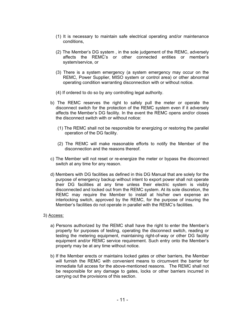- (1) It is necessary to maintain safe electrical operating and/or maintenance conditions,
- (2) The Member's DG system , in the sole judgement of the REMC, adversely affects the REMC's or other connected entities or member's system/service, or
- (3) There is a system emergency (a system emergency may occur on the REMC, Power Supplier, MISO system or control area) or other abnormal operating condition warranting disconnection with or without notice.
- (4) If ordered to do so by any controlling legal authority.
- b) The REMC reserves the right to safely pull the meter or operate the disconnect switch for the protection of the REMC system even if it adversely affects the Member's DG facility. In the event the REMC opens and/or closes the disconnect switch with or without notice:
	- (1) The REMC shall not be responsible for energizing or restoring the parallel operation of the DG facility.
	- (2) The REMC will make reasonable efforts to notify the Member of the disconnection and the reasons thereof.
- c) The Member will not reset or re-energize the meter or bypass the disconnect switch at any time for any reason.
- d) Members with DG facilities as defined in this DG Manual that are solely for the purpose of emergency backup without intent to export power shall not operate their DG facilities at any time unless their electric system is visibly disconnected and locked out from the REMC system. At its sole discretion, the REMC may require the Member to install at his/her own expense an interlocking switch, approved by the REMC, for the purpose of insuring the Member's facilities do not operate in parallel with the REMC's facilities.

#### 3) Access:

- a) Persons authorized by the REMC shall have the right to enter the Member's property for purposes of testing, operating the disconnect switch, reading or testing the metering equipment, maintaining right-of-way or other DG facility equipment and/or REMC service requirement. Such entry onto the Member's property may be at any time without notice.
- b) If the Member erects or maintains locked gates or other barriers, the Member will furnish the REMC with convenient means to circumvent the barrier for immediate full access for the above-mentioned reasons. The REMC shall not be responsible for any damage to gates, locks or other barriers incurred in carrying out the provisions of this section.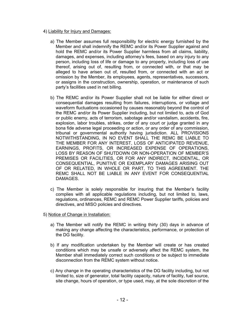## 4) Liability for Injury and Damages:

- a) The Member assumes full responsibility for electric energy furnished by the Member and shall indemnify the REMC and/or its Power Supplier against and hold the REMC and/or its Power Supplier harmless from all claims, liability, damages, and expenses, including attorney's fees, based on any injury to any person, including loss of life or damage to any property, including loss of use thereof, arising out of, resulting from, or connected with, or that may be alleged to have arisen out of, resulted from, or connected with an act or omission by the Member, its employees, agents, representatives, successors, or assigns in the construction, ownership, operation, or maintenance of such party's facilities used in net billing.
- b) The REMC and/or its Power Supplier shall not be liable for either direct or consequential damages resulting from failures, interruptions, or voltage and waveform fluctuations occasioned by causes reasonably beyond the control of the REMC and/or its Power Supplier including, but not limited to, acts of God or public enemy, acts of terrorism, sabotage and/or vandalism, accidents, fire, explosion, labor troubles, strikes, order of any court or judge granted in any bona fide adverse legal proceeding or action, or any order of any commission, tribunal or governmental authority having jurisdiction. ALL PROVISIONS NOTWITHSTANDING, IN NO EVENT SHALL THE REMC BE LIABLE TO THE MEMBER FOR ANY INTEREST, LOSS OF ANTICIPATED REVENUE, EARNINGS, PROFITS, OR INCREASED EXPENSE OF OPERATIONS, LOSS BY REASON OF SHUTDOWN OR NON-OPERATION OF MEMBER'S PREMISES OR FACILITIES, OR FOR ANY INDIRECT, INCIDENTAL, OR CONSEQUENTIAL, PUNITIVE OR EXEMPLARY DAMAGES ARISING OUT OF OR RELATED, IN WHOLE OR PART, TO THIS AGREEMENT. THE REMC SHALL NOT BE LIABLE IN ANY EVENT FOR CONSEQUENTIAL DAMAGES.
- c) The Member is solely responsible for insuring that the Member's facility complies with all applicable regulations including, but not limited to, laws, regulations, ordinances, REMC and REMC Power Supplier tariffs, policies and directives, and MISO policies and directives.
- 5) Notice of Change in Installation:
	- a) The Member will notify the REMC in writing thirty (30) days in advance of making any change affecting the characteristics, performance, or protection of the DG facility.
	- b) If any modification undertaken by the Member will create or has created conditions which may be unsafe or adversely affect the REMC system, the Member shall immediately correct such conditions or be subject to immediate disconnection from the REMC system without notice.
	- c) Any change in the operating characteristics of the DG facility including, but not limited to, size of generator, total facility capacity, nature of facility, fuel source, site change, hours of operation, or type used, may, at the sole discretion of the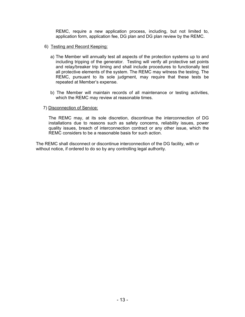REMC, require a new application process, including, but not limited to, application form, application fee, DG plan and DG plan review by the REMC.

- 6) Testing and Record Keeping:
	- a) The Member will annually test all aspects of the protection systems up to and including tripping of the generator. Testing will verify all protective set points and relay/breaker trip timing and shall include procedures to functionally test all protective elements of the system. The REMC may witness the testing. The REMC, pursuant to its sole judgment, may require that these tests be repeated at Member's expense.
	- b) The Member will maintain records of all maintenance or testing activities, which the REMC may review at reasonable times.

## 7) Disconnection of Service:

The REMC may, at its sole discretion, discontinue the interconnection of DG installations due to reasons such as safety concerns, reliability issues, power quality issues, breach of interconnection contract or any other issue, which the REMC considers to be a reasonable basis for such action.

The REMC shall disconnect or discontinue interconnection of the DG facility, with or without notice, if ordered to do so by any controlling legal authority.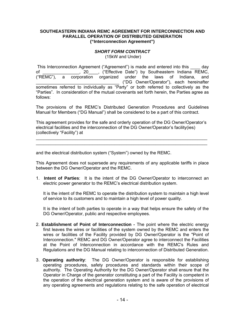#### **SOUTHEASTERN INDIANA REMC AGREEMENT FOR INTERCONNECTION AND PARALLEL OPERATION OF DISTRIBUTED GENERATION ("Interconnection Agreement")**

## *SHORT FORM CONTRACT*

(15kW and Under)

 This Interconnection Agreement ("Agreement") is made and entered into this \_\_\_\_ day of \_\_\_\_\_\_\_\_\_\_\_\_\_\_\_, 20\_\_\_\_, ("Effective Date") by Southeastern Indiana REMC, ("REMC"), a corporation organized under the laws of Indiana, and \_\_\_\_\_\_\_\_\_\_\_\_\_\_\_\_\_\_\_\_\_\_\_\_\_\_\_\_\_\_\_\_\_\_ ("DG Owner/Operator"), each hereinafter sometimes referred to individually as "Party" or both referred to collectively as the "Parties". In consideration of the mutual covenants set forth herein, the Parties agree as follows:

The provisions of the REMC's Distributed Generation Procedures and Guidelines Manual for Members ("DG Manual") shall be considered to be a part of this contract.

This agreement provides for the safe and orderly operation of the DG Owner/Operator's electrical facilities and the interconnection of the DG Owner/Operator's facility(ies) (collectively "Facility") at

\_\_\_\_\_\_\_\_\_\_\_\_\_\_\_\_\_\_\_\_\_\_\_\_\_\_\_\_\_\_\_\_\_\_\_\_\_\_\_\_\_\_\_\_\_\_\_\_\_\_\_\_\_\_\_\_\_\_\_\_\_\_\_\_\_\_\_\_\_\_ \_\_\_\_\_\_\_\_\_\_\_\_\_\_\_\_\_\_\_\_\_\_\_\_\_\_\_\_\_\_\_\_\_\_\_\_\_\_\_\_\_\_\_\_\_\_\_\_\_\_\_\_\_\_\_\_\_\_\_\_\_\_\_\_\_\_\_\_\_\_

and the electrical distribution system ("System") owned by the REMC.

This Agreement does not supersede any requirements of any applicable tariffs in place between the DG Owner/Operator and the REMC.

1. **Intent of Parties**: It is the intent of the DG Owner/Operator to interconnect an electric power generator to the REMC's electrical distribution system.

It is the intent of the REMC to operate the distribution system to maintain a high level of service to its customers and to maintain a high level of power quality.

It is the intent of both parties to operate in a way that helps ensure the safety of the DG Owner/Operator, public and respective employees.

- 2. **Establishment of Point of Interconnection** The point where the electric energy first leaves the wires or facilities of the system owned by the REMC and enters the wires or facilities of the Facility provided by DG Owner/Operator is the "Point of Interconnection." REMC and DG Owner/Operator agree to interconnect the Facilities at the Point of Interconnection in accordance with the REMC's Rules and Regulations and the DG Manual relating to interconnection of Distributed Generation.
- 3. **Operating authority**: The DG Owner/Operator is responsible for establishing operating procedures, safety procedures and standards within their scope of authority. The Operating Authority for the DG Owner/Operator shall ensure that the Operator in Charge of the generator constituting a part of the Facility is competent in the operation of the electrical generation system and is aware of the provisions of any operating agreements and regulations relating to the safe operation of electrical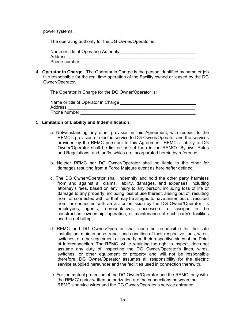power systems.

The operating authority for the DG Owner/Operator is:

| Name or title of Operating Authority |  |
|--------------------------------------|--|
| Address                              |  |
| Phone number                         |  |

4. **Operator in Charge**: The Operator in Charge is the person identified by name or job title responsible for the real time operation of the Facility owned or leased by the DG Owner/Operator.

The Operator in Charge for the DG Owner/Operator is:

| Name or title of Operator in Charge |
|-------------------------------------|
| Address                             |
| Phone number                        |

## 5. **Limitation of Liability and Indemnification:**

- a. Notwithstanding any other provision in this Agreement, with respect to the REMC's provision of electric service to DG Owner/Operator and the services provided by the REMC pursuant to this Agreement, REMC's liability to DG Owner/Operator shall be limited as set forth in the REMC's Bylaws, Rules and Regulations, and tariffs, which are incorporated herein by reference.
- b. Neither REMC nor DG Owner/Operator shall be liable to the other for damages resulting from a Force Majeure event as hereinafter defined.
- c. The DG Owner/Operator shall indemnify and hold the other party harmless from and against all claims, liability, damages, and expenses, including attorney's fees, based on any injury to any person, including loss of life or damage to any property, including loss of use thereof, arising out of, resulting from, or connected with, or that may be alleged to have arisen out of, resulted from, or connected with an act or omission by the DG Owner/Operator, its employees, agents, representatives, successors, or assigns in the construction, ownership, operation, or maintenance of such party's facilities used in net billing.
- d. REMC and DG Owner/Operator shall each be responsible for the safe installation, maintenance, repair and condition of their respective lines, wires, switches, or other equipment or property on their respective sides of the Point of Interconnection. The REMC, while retaining the right to inspect, does not assume any duty of inspecting the DG Owner/Operator's lines, wires, switches, or other equipment or property and will not be responsible therefore. DG Owner/Operator assumes all responsibility for the electric service supplied hereunder and the facilities used in connection therewith.
- e. For the mutual protection of the DG Owner/Operator and the REMC, only with the REMC's prior written authorization are the connections between the REMC's service wires and the DG Owner/Operator's service entrance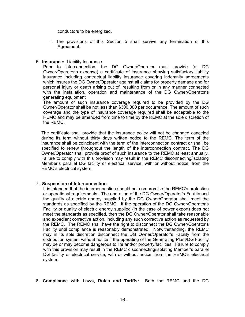conductors to be energized.

f. The provisions of this Section 5 shall survive any termination of this Agreement.

## 6. **Insurance:** Liability Insurance

Prior to interconnection, the DG Owner/Operator must provide (at DG Owner/Operator's expense) a certificate of insurance showing satisfactory liability insurance including contractual liability insurance covering indemnity agreements which insures the DG Owner/Operator against all claims for property damage and for personal injury or death arising out of, resulting from or in any manner connected with the installation, operation and maintenance of the DG Owner/Operator's generating equipment

The amount of such insurance coverage required to be provided by the DG Owner/Operator shall be not less than \$300,000 per occurrence. The amount of such coverage and the type of insurance coverage required shall be acceptable to the REMC and may be amended from time to time by the REMC at the sole discretion of the REMC.

The certificate shall provide that the insurance policy will not be changed canceled during its term without thirty days written notice to the REMC. The term of the insurance shall be coincident with the term of the interconnection contract or shall be specified to renew throughout the length of the interconnection contract. The DG Owner/Operator shall provide proof of such insurance to the REMC at least annually. Failure to comply with this provision may result in the REMC disconnecting/isolating Member's parallel DG facility or electrical service, with or without notice, from the REMC's electrical system.

#### 7. **Suspension of Interconnection**:

It is intended that the interconnection should not compromise the REMC's protection or operational requirements. The operation of the DG Owner/Operator's Facility and the quality of electric energy supplied by the DG Owner/Operator shall meet the standards as specified by the REMC. If the operation of the DG Owner/Operator's Facility or quality of electric energy supplied (in the case of power export) does not meet the standards as specified, then the DG Owner/Operator shall take reasonable and expedient corrective action, including any such corrective action as requested by the REMC. The REMC shall have the right to disconnect the DG Owner/Operator's Facility until compliance is reasonably demonstrated. Notwithstanding, the REMC may in its sole discretion disconnect the DG Owner/Operator's Facility from the distribution system without notice if the operating of the Generating Plant/DG Facility may be or may become dangerous to life and/or property/facilities. Failure to comply with this provision may result in the REMC disconnecting/isolating Member's parallel DG facility or electrical service, with or without notice, from the REMC's electrical system.

8. **Compliance with Laws, Rules and Tariffs:** Both the REMC and the DG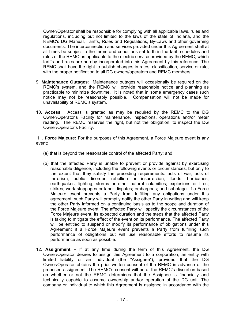Owner/Operator shall be responsible for complying with all applicable laws, rules and regulations, including but not limited to the laws of the state of Indiana, and the REMC's DG Manual, Tariffs, Rules and Regulations, By-Laws and other governing documents. The interconnection and services provided under this Agreement shall at all times be subject to the terms and conditions set forth in the tariff schedules and rules of the REMC as applicable to the electric service provided by the REMC, which tariffs and rules are hereby incorporated into this Agreement by this reference. The REMC shall have the right to publish changes in rates, classification, service or rule, with the proper notification to all DG owners/operators and REMC members.

- 9. **Maintenance Outages**: Maintenance outages will occasionally be required on the REMC's system, and the REMC will provide reasonable notice and planning as practicable to minimize downtime. It is noted that in some emergency cases such notice may not be reasonably possible. Compensation will not be made for unavailability of REMC's system.
- 10. **Access**: Access is granted as may be required by the REMC to the DG Owner/Operator's Facility for maintenance, inspections, operations and/or meter reading. The REMC reserves the right, but not the obligation, to inspect the DG Owner/Operator's Facility.

 11. **Force Majeure:** For the purposes of this Agreement, a Force Majeure event is any event:

- (a) that is beyond the reasonable control of the affected Party; and
- (b) that the affected Party is unable to prevent or provide against by exercising reasonable diligence, including the following events or circumstances, but only to the extent that they satisfy the preceding requirements: acts of war, acts of terrorism, public disorder, rebellion or insurrection; floods, hurricanes, earthquakes, lighting, storms or other natural calamities; explosions or fires; strikes, work stoppages or labor disputes; embargoes; and sabotage. If a Force Majeure event prevents a Party from fulfilling any obligations under this agreement, such Party will promptly notify the other Party in writing and will keep the other Party informed on a continuing basis as to the scope and duration of the Force Majeure event. The affected Party will specify the circumstances of the Force Majeure event, its expected duration and the steps that the affected Party is taking to mitigate the effect of the event on its performance. The affected Party will be entitled to suspend or modify its performance of obligations under this Agreement if a Force Majeure event prevents a Party from fulfilling such performance of obligations but will use reasonable efforts to resume its performance as soon as possible.
- 12. **Assignment** If at any time during the term of this Agreement, the DG Owner/Operator desires to assign this Agreement to a corporation, an entity with limited liability or an individual (the "Assignee"), provided that the DG Owner/Operator obtains the prior written consent of the REMC in advance of the proposed assignment. The REMC's consent will be at the REMC's discretion based on whether or not the REMC determines that the Assignee is financially and technically capable to assume ownership and/or operation of the DG unit. The company or individual to which this Agreement is assigned in accordance with the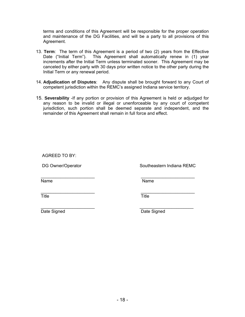terms and conditions of this Agreement will be responsible for the proper operation and maintenance of the DG Facilities, and will be a party to all provisions of this Agreement.

- 13. **Term**: The term of this Agreement is a period of two (2) years from the Effective Date ("Initial Term"). This Agreement shall automatically renew in (1) year increments after the Initial Term unless terminated sooner. This Agreement may be canceled by either party with 30 days prior written notice to the other party during the Initial Term or any renewal period.
- 14. **Adjudication of Disputes**: Any dispute shall be brought forward to any Court of competent jurisdiction within the REMC's assigned Indiana service territory.
- 15. **Severability** -If any portion or provision of this Agreement is held or adjudged for any reason to be invalid or illegal or unenforceable by any court of competent jurisdiction, such portion shall be deemed separate and independent, and the remainder of this Agreement shall remain in full force and effect.

AGREED TO BY:

DG Owner/Operator Southeastern Indiana REMC

 $\overline{\phantom{a}}$  ,  $\overline{\phantom{a}}$  ,  $\overline{\phantom{a}}$  ,  $\overline{\phantom{a}}$  ,  $\overline{\phantom{a}}$  ,  $\overline{\phantom{a}}$  ,  $\overline{\phantom{a}}$  ,  $\overline{\phantom{a}}$  ,  $\overline{\phantom{a}}$  ,  $\overline{\phantom{a}}$  ,  $\overline{\phantom{a}}$  ,  $\overline{\phantom{a}}$  ,  $\overline{\phantom{a}}$  ,  $\overline{\phantom{a}}$  ,  $\overline{\phantom{a}}$  ,  $\overline{\phantom{a}}$ Name Name

Title **Title** Title

 $\overline{\phantom{a}}$  ,  $\overline{\phantom{a}}$  ,  $\overline{\phantom{a}}$  ,  $\overline{\phantom{a}}$  ,  $\overline{\phantom{a}}$  ,  $\overline{\phantom{a}}$  ,  $\overline{\phantom{a}}$  ,  $\overline{\phantom{a}}$  ,  $\overline{\phantom{a}}$  ,  $\overline{\phantom{a}}$  ,  $\overline{\phantom{a}}$  ,  $\overline{\phantom{a}}$  ,  $\overline{\phantom{a}}$  ,  $\overline{\phantom{a}}$  ,  $\overline{\phantom{a}}$  ,  $\overline{\phantom{a}}$ 

 $\frac{1}{2}$  ,  $\frac{1}{2}$  ,  $\frac{1}{2}$  ,  $\frac{1}{2}$  ,  $\frac{1}{2}$  ,  $\frac{1}{2}$  ,  $\frac{1}{2}$  ,  $\frac{1}{2}$  ,  $\frac{1}{2}$  ,  $\frac{1}{2}$  ,  $\frac{1}{2}$  ,  $\frac{1}{2}$  ,  $\frac{1}{2}$  ,  $\frac{1}{2}$  ,  $\frac{1}{2}$  ,  $\frac{1}{2}$  ,  $\frac{1}{2}$  ,  $\frac{1}{2}$  ,  $\frac{1$ Date Signed **Date Signed** Date Signed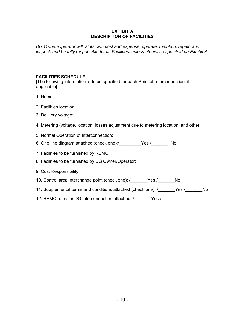## **EXHIBIT A DESCRIPTION OF FACILITIES**

*DG Owner/Operator will, at its own cost and expense, operate, maintain, repair, and inspect, and be fully responsible for its Facilities, unless otherwise specified on Exhibit A.* 

# **FACILITIES SCHEDULE**

[The following information is to be specified for each Point of Interconnection, if applicable]

- 1. Name:
- 2. Facilities location:
- 3. Delivery voltage:
- 4. Metering (voltage, location, losses adjustment due to metering location, and other:
- 5. Normal Operation of Interconnection:
- 6. One line diagram attached (check one):/\_\_\_\_\_\_\_\_\_Yes /\_\_\_\_\_\_\_ No
- 7. Facilities to be furnished by REMC:
- 8. Facilities to be furnished by DG Owner/Operator:
- 9. Cost Responsibility:
- 10. Control area interchange point (check one): /\_\_\_\_\_\_\_Yes /\_\_\_\_\_\_\_No
- 11. Supplemental terms and conditions attached (check one): /\_\_\_\_\_\_Yes /\_\_\_\_\_\_No
- 12. REMC rules for DG interconnection attached: / Yes /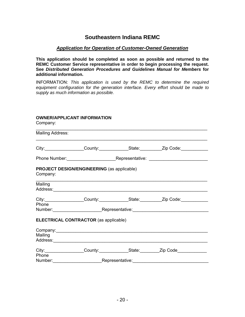# **Southeastern Indiana REMC**

# *Application for Operation of Customer-Owned Generation*

**This application should be completed as soon as possible and returned to the REMC Customer Service representative in order to begin processing the request. See** *Distributed Generation Procedures and Guidelines Manual for Members* **for additional information.** 

INFORMATION: *This application is used by the REMC to determine the required equipment configuration for the generation interface. Every effort should be made to supply as much information as possible.* 

# **OWNER/APPLICANT INFORMATION**

Company:

| <b>Mailing Address:</b> |                                                                                                                |                                   |                                                                                        |  |
|-------------------------|----------------------------------------------------------------------------------------------------------------|-----------------------------------|----------------------------------------------------------------------------------------|--|
|                         |                                                                                                                |                                   | City: City: County: County: County: City: City: Code:                                  |  |
|                         |                                                                                                                |                                   |                                                                                        |  |
| Company:                | <b>PROJECT DESIGN/ENGINEERING (as applicable)</b>                                                              |                                   |                                                                                        |  |
| Mailing                 |                                                                                                                |                                   |                                                                                        |  |
|                         |                                                                                                                |                                   | City:___________________County:_______________State:____________Zip Code:_____________ |  |
| Phone                   | Number: Number: Number: Representative: Number: Number: Number: Number: Number: Number: Number: Number: Number |                                   |                                                                                        |  |
|                         | <b>ELECTRICAL CONTRACTOR (as applicable)</b>                                                                   |                                   |                                                                                        |  |
|                         |                                                                                                                |                                   |                                                                                        |  |
| Mailing                 |                                                                                                                |                                   |                                                                                        |  |
|                         |                                                                                                                |                                   | City: City: County: County: State: Zip Code                                            |  |
| Phone                   |                                                                                                                | Representative:__________________ |                                                                                        |  |